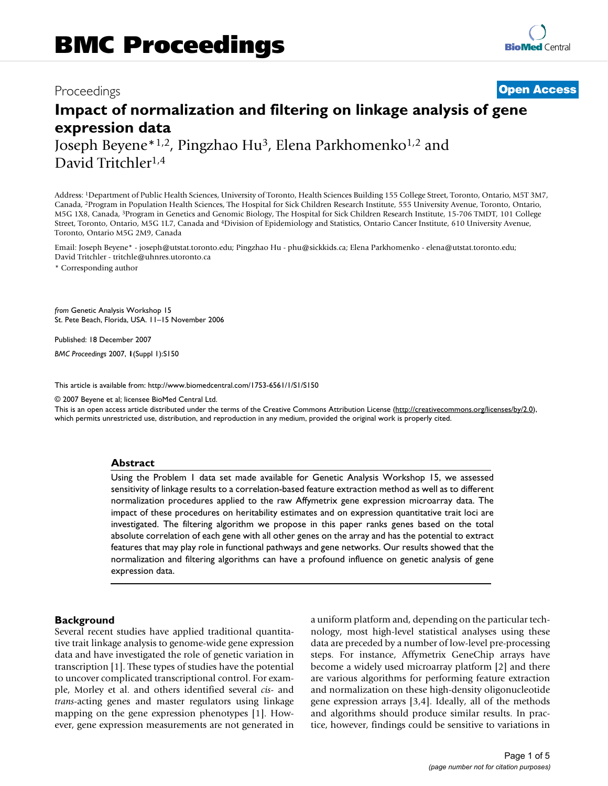# Proceedings **[Open Access](http://www.biomedcentral.com/info/about/charter/)**

# **Impact of normalization and filtering on linkage analysis of gene expression data**

Joseph Beyene<sup>\*1,2</sup>, Pingzhao Hu<sup>3</sup>, Elena Parkhomenko<sup>1,2</sup> and David Tritchler1,4

Address: 1Department of Public Health Sciences, University of Toronto, Health Sciences Building 155 College Street, Toronto, Ontario, M5T 3M7, Canada, 2Program in Population Health Sciences, The Hospital for Sick Children Research Institute, 555 University Avenue, Toronto, Ontario, M5G 1X8, Canada, 3Program in Genetics and Genomic Biology, The Hospital for Sick Children Research Institute, 15-706 TMDT, 101 College Street, Toronto, Ontario, M5G 1L7, Canada and 4Division of Epidemiology and Statistics, Ontario Cancer Institute, 610 University Avenue, Toronto, Ontario M5G 2M9, Canada

Email: Joseph Beyene\* - joseph@utstat.toronto.edu; Pingzhao Hu - phu@sickkids.ca; Elena Parkhomenko - elena@utstat.toronto.edu; David Tritchler - tritchle@uhnres.utoronto.ca

\* Corresponding author

*from* Genetic Analysis Workshop 15 St. Pete Beach, Florida, USA. 11–15 November 2006

Published: 18 December 2007

*BMC Proceedings* 2007, **1**(Suppl 1):S150

[This article is available from: http://www.biomedcentral.com/1753-6561/1/S1/S150](http://www.biomedcentral.com/1753-6561/1/S1/S150)

© 2007 Beyene et al; licensee BioMed Central Ltd.

This is an open access article distributed under the terms of the Creative Commons Attribution License [\(http://creativecommons.org/licenses/by/2.0\)](http://creativecommons.org/licenses/by/2.0), which permits unrestricted use, distribution, and reproduction in any medium, provided the original work is properly cited.

#### **Abstract**

Using the Problem 1 data set made available for Genetic Analysis Workshop 15, we assessed sensitivity of linkage results to a correlation-based feature extraction method as well as to different normalization procedures applied to the raw Affymetrix gene expression microarray data. The impact of these procedures on heritability estimates and on expression quantitative trait loci are investigated. The filtering algorithm we propose in this paper ranks genes based on the total absolute correlation of each gene with all other genes on the array and has the potential to extract features that may play role in functional pathways and gene networks. Our results showed that the normalization and filtering algorithms can have a profound influence on genetic analysis of gene expression data.

#### **Background**

Several recent studies have applied traditional quantitative trait linkage analysis to genome-wide gene expression data and have investigated the role of genetic variation in transcription [1]. These types of studies have the potential to uncover complicated transcriptional control. For example, Morley et al. and others identified several *cis*- and *trans*-acting genes and master regulators using linkage mapping on the gene expression phenotypes [1]. However, gene expression measurements are not generated in a uniform platform and, depending on the particular technology, most high-level statistical analyses using these data are preceded by a number of low-level pre-processing steps. For instance, Affymetrix GeneChip arrays have become a widely used microarray platform [2] and there are various algorithms for performing feature extraction and normalization on these high-density oligonucleotide gene expression arrays [3,4]. Ideally, all of the methods and algorithms should produce similar results. In practice, however, findings could be sensitive to variations in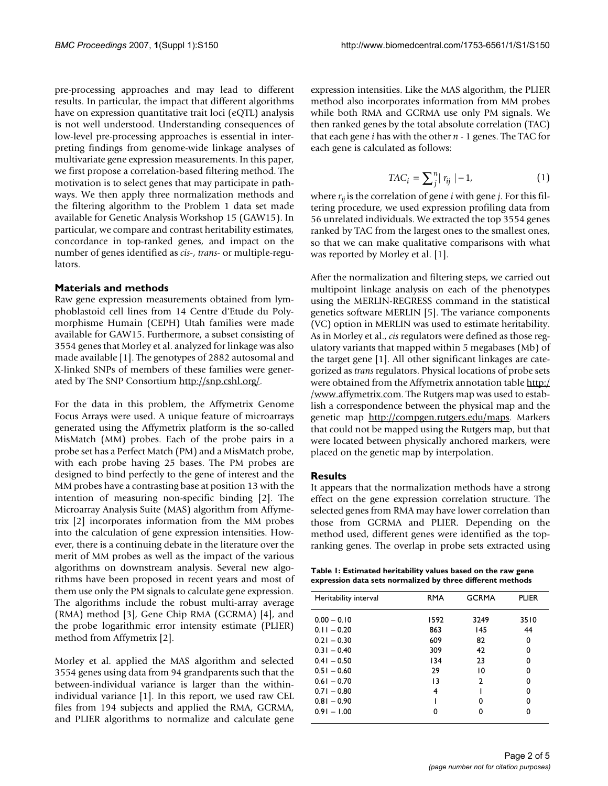pre-processing approaches and may lead to different results. In particular, the impact that different algorithms have on expression quantitative trait loci (eQTL) analysis is not well understood. Understanding consequences of low-level pre-processing approaches is essential in interpreting findings from genome-wide linkage analyses of multivariate gene expression measurements. In this paper, we first propose a correlation-based filtering method. The motivation is to select genes that may participate in pathways. We then apply three normalization methods and the filtering algorithm to the Problem 1 data set made available for Genetic Analysis Workshop 15 (GAW15). In particular, we compare and contrast heritability estimates, concordance in top-ranked genes, and impact on the number of genes identified as *cis*-, *trans*- or multiple-regulators.

#### **Materials and methods**

Raw gene expression measurements obtained from lymphoblastoid cell lines from 14 Centre d'Etude du Polymorphisme Humain (CEPH) Utah families were made available for GAW15. Furthermore, a subset consisting of 3554 genes that Morley et al. analyzed for linkage was also made available [1]. The genotypes of 2882 autosomal and X-linked SNPs of members of these families were generated by The SNP Consortium [http://snp.cshl.org/.](http://snp.cshl.org/)

For the data in this problem, the Affymetrix Genome Focus Arrays were used. A unique feature of microarrays generated using the Affymetrix platform is the so-called MisMatch (MM) probes. Each of the probe pairs in a probe set has a Perfect Match (PM) and a MisMatch probe, with each probe having 25 bases. The PM probes are designed to bind perfectly to the gene of interest and the MM probes have a contrasting base at position 13 with the intention of measuring non-specific binding [2]. The Microarray Analysis Suite (MAS) algorithm from Affymetrix [2] incorporates information from the MM probes into the calculation of gene expression intensities. However, there is a continuing debate in the literature over the merit of MM probes as well as the impact of the various algorithms on downstream analysis. Several new algorithms have been proposed in recent years and most of them use only the PM signals to calculate gene expression. The algorithms include the robust multi-array average (RMA) method [3], Gene Chip RMA (GCRMA) [4], and the probe logarithmic error intensity estimate (PLIER) method from Affymetrix [2].

Morley et al. applied the MAS algorithm and selected 3554 genes using data from 94 grandparents such that the between-individual variance is larger than the withinindividual variance [1]. In this report, we used raw CEL files from 194 subjects and applied the RMA, GCRMA, and PLIER algorithms to normalize and calculate gene expression intensities. Like the MAS algorithm, the PLIER method also incorporates information from MM probes while both RMA and GCRMA use only PM signals. We then ranked genes by the total absolute correlation (TAC) that each gene *i* has with the other *n* - 1 genes. The TAC for each gene is calculated as follows:

$$
TAC_i = \sum_{j}^{n} |r_{ij}| - 1,
$$
 (1)

where *rij* is the correlation of gene *i* with gene *j*. For this filtering procedure, we used expression profiling data from 56 unrelated individuals. We extracted the top 3554 genes ranked by TAC from the largest ones to the smallest ones, so that we can make qualitative comparisons with what was reported by Morley et al. [1].

After the normalization and filtering steps, we carried out multipoint linkage analysis on each of the phenotypes using the MERLIN-REGRESS command in the statistical genetics software MERLIN [5]. The variance components (VC) option in MERLIN was used to estimate heritability. As in Morley et al., *cis* regulators were defined as those regulatory variants that mapped within 5 megabases (Mb) of the target gene [1]. All other significant linkages are categorized as *trans* regulators. Physical locations of probe sets were obtained from the Affymetrix annotation table [http:/](http://www.affymetrix.com) [/www.affymetrix.com](http://www.affymetrix.com). The Rutgers map was used to establish a correspondence between the physical map and the genetic map <http://compgen.rutgers.edu/maps>. Markers that could not be mapped using the Rutgers map, but that were located between physically anchored markers, were placed on the genetic map by interpolation.

#### **Results**

It appears that the normalization methods have a strong effect on the gene expression correlation structure. The selected genes from RMA may have lower correlation than those from GCRMA and PLIER. Depending on the method used, different genes were identified as the topranking genes. The overlap in probe sets extracted using

**Table 1: Estimated heritability values based on the raw gene expression data sets normalized by three different methods**

| Heritability interval | <b>RMA</b> | <b>GCRMA</b>  | PLIER |
|-----------------------|------------|---------------|-------|
| $0.00 - 0.10$         | 1592       | 3249          | 3510  |
| $0.11 - 0.20$         | 863        | 145           | 44    |
| $0.21 - 0.30$         | 609        | 82            | 0     |
| $0.31 - 0.40$         | 309        | 42            | 0     |
| $0.41 - 0.50$         | 134        | 23            | 0     |
| $0.51 - 0.60$         | 29         | 10            | 0     |
| $0.61 - 0.70$         | 13         | $\mathcal{P}$ | 0     |
| $0.71 - 0.80$         | 4          |               | 0     |
| $0.81 - 0.90$         |            | O             | ŋ     |
| $0.91 - 1.00$         |            |               | ŋ     |
|                       |            |               |       |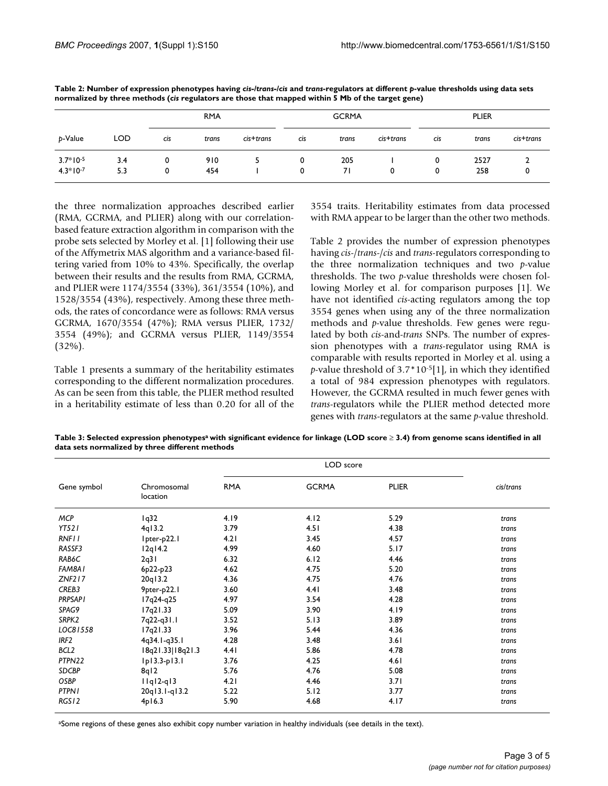|            |            | <b>RMA</b> |       | <b>GCRMA</b> |     | <b>PLIER</b> |                  |     |       |           |
|------------|------------|------------|-------|--------------|-----|--------------|------------------|-----|-------|-----------|
| b-Value    | <b>LOD</b> | cis        | trans | cis+trans    | cis | trans        | $c$ is $+$ trans | cis | trans | cis+trans |
| $3.7*10-5$ | 3.4        | 0          | 910   |              | 0   | 205          |                  |     | 2527  |           |
| $4.3*10-7$ | 5.3        | 0          | 454   |              | 0   | 71           |                  | 0   | 258   |           |

**Table 2: Number of expression phenotypes having** *cis-/trans-/cis* **and** *trans***-regulators at different** *p***-value thresholds using data sets normalized by three methods (***cis* **regulators are those that mapped within 5 Mb of the target gene)**

the three normalization approaches described earlier (RMA, GCRMA, and PLIER) along with our correlationbased feature extraction algorithm in comparison with the probe sets selected by Morley et al. [1] following their use of the Affymetrix MAS algorithm and a variance-based filtering varied from 10% to 43%. Specifically, the overlap between their results and the results from RMA, GCRMA, and PLIER were 1174/3554 (33%), 361/3554 (10%), and 1528/3554 (43%), respectively. Among these three methods, the rates of concordance were as follows: RMA versus GCRMA, 1670/3554 (47%); RMA versus PLIER, 1732/ 3554 (49%); and GCRMA versus PLIER, 1149/3554 (32%).

Table 1 presents a summary of the heritability estimates corresponding to the different normalization procedures. As can be seen from this table, the PLIER method resulted in a heritability estimate of less than 0.20 for all of the 3554 traits. Heritability estimates from data processed with RMA appear to be larger than the other two methods.

Table 2 provides the number of expression phenotypes having *cis*-/*trans*-/*cis* and *trans*-regulators corresponding to the three normalization techniques and two *p*-value thresholds. The two *p*-value thresholds were chosen following Morley et al. for comparison purposes [1]. We have not identified *cis*-acting regulators among the top 3554 genes when using any of the three normalization methods and *p*-value thresholds. Few genes were regulated by both *cis*-and-*trans* SNPs. The number of expression phenotypes with a *trans*-regulator using RMA is comparable with results reported in Morley et al. using a *p*-value threshold of 3.7\*10-5[1], in which they identified a total of 984 expression phenotypes with regulators. However, the GCRMA resulted in much fewer genes with *trans*-regulators while the PLIER method detected more genes with *trans*-regulators at the same *p*-value threshold.

**Table 3: Selected expression phenotypesa with significant evidence for linkage (LOD score** ≥ **3.4) from genome scans identified in all data sets normalized by three different methods**

|                  |                         | LOD score  |              |              |           |  |
|------------------|-------------------------|------------|--------------|--------------|-----------|--|
| Gene symbol      | Chromosomal<br>location | <b>RMA</b> | <b>GCRMA</b> | <b>PLIER</b> | cis/trans |  |
| MCP              | 1q32                    | 4.19       | 4.12         | 5.29         | trans     |  |
| <b>YT521</b>     | 4q13.2                  | 3.79       | 4.51         | 4.38         | trans     |  |
| <b>RNFII</b>     | Ipter-p22.I             | 4.21       | 3.45         | 4.57         | trans     |  |
| RASSF3           | $12q$ $14.2$            | 4.99       | 4.60         | 5.17         | trans     |  |
| RAB6C            | 2q31                    | 6.32       | 6.12         | 4.46         | trans     |  |
| FAM8A1           | 6p22-p23                | 4.62       | 4.75         | 5.20         | trans     |  |
| ZNF217           | 20q13.2                 | 4.36       | 4.75         | 4.76         | trans     |  |
| CREB3            | 9pter-p22.1             | 3.60       | 4.41         | 3.48         | trans     |  |
| <b>PRPSAPI</b>   | I7q24-q25               | 4.97       | 3.54         | 4.28         | trans     |  |
| SPAG9            | 17q21.33                | 5.09       | 3.90         | 4.19         | trans     |  |
| SRPK2            | 7q22-q31.1              | 3.52       | 5.13         | 3.89         | trans     |  |
| LOC81558         | 17q21.33                | 3.96       | 5.44         | 4.36         | trans     |  |
| IRF2             | 4q34.1-q35.1            | 4.28       | 3.48         | 3.61         | trans     |  |
| BCL <sub>2</sub> | I8q21.33 I8q21.3        | 4.41       | 5.86         | 4.78         | trans     |  |
| PTPN22           | $lp13.3-p13.1$          | 3.76       | 4.25         | 4.61         | trans     |  |
| <b>SDCBP</b>     | 8q12                    | 5.76       | 4.76         | 5.08         | trans     |  |
| OSBP             | $IIqI2-qI3$             | 4.21       | 4.46         | 3.71         | trans     |  |
| <b>PTPNI</b>     | 20q13.1-q13.2           | 5.22       | 5.12         | 3.77         | trans     |  |
| RGS12            | 4p16.3                  | 5.90       | 4.68         | 4.17         | trans     |  |

aSome regions of these genes also exhibit copy number variation in healthy individuals (see details in the text).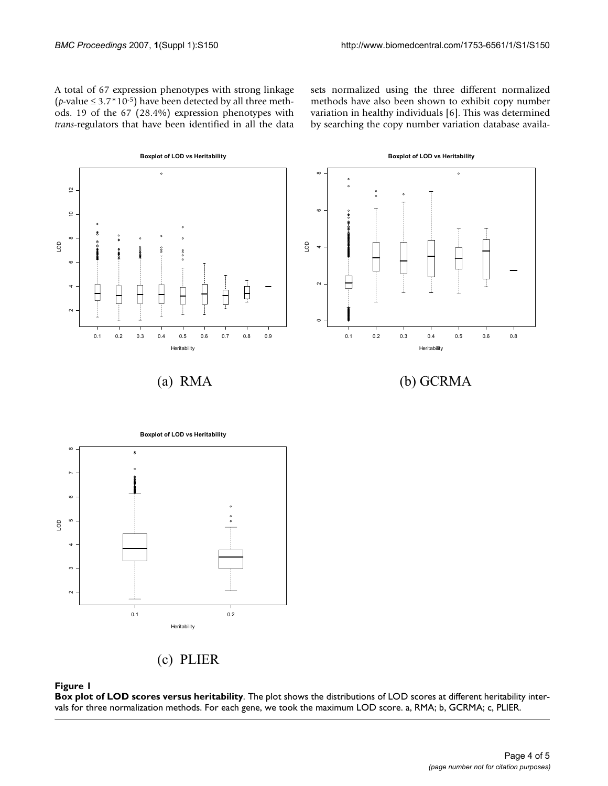A total of 67 expression phenotypes with strong linkage (*p*-value  $\leq 3.7*10^{-5}$ ) have been detected by all three methods. 19 of the 67 (28.4%) expression phenotypes with *trans*-regulators that have been identified in all the data

sets normalized using the three different normalized methods have also been shown to exhibit copy number variation in healthy individuals [6]. This was determined by searching the copy number variation database availa-





 $0.1$  0.2

Heritability

#### **Figure 1**

**Box plot of LOD scores versus heritability**. The plot shows the distributions of LOD scores at different heritability intervals for three normalization methods. For each gene, we took the maximum LOD score. a, RMA; b, GCRMA; c, PLIER.